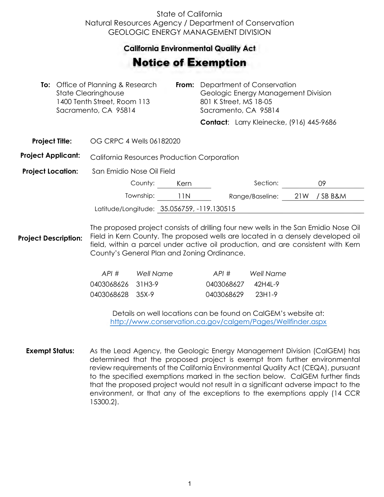## State of California Natural Resources Agency / Department of Conservation GEOLOGIC ENERGY MANAGEMENT DIVISION

## **California Environmental Quality Act**  California Environmental Quality Act

## Notice of Exemption **otice of Exemption**

| <b>To:</b> Office of Planning & Research<br><b>State Clearinghouse</b><br>1400 Tenth Street, Room 113<br>Sacramento, CA 95814 |  |                                             | From: | Department of Conservation<br>Geologic Energy Management Division<br>801 K Street, MS 18-05<br>Sacramento, CA 95814 |                                          |     |        |  |
|-------------------------------------------------------------------------------------------------------------------------------|--|---------------------------------------------|-------|---------------------------------------------------------------------------------------------------------------------|------------------------------------------|-----|--------|--|
|                                                                                                                               |  |                                             |       |                                                                                                                     | Contact: Larry Kleinecke, (916) 445-9686 |     |        |  |
| <b>Project Title:</b>                                                                                                         |  | OG CRPC 4 Wells 06182020                    |       |                                                                                                                     |                                          |     |        |  |
| <b>Project Applicant:</b>                                                                                                     |  | California Resources Production Corporation |       |                                                                                                                     |                                          |     |        |  |
| <b>Project Location:</b>                                                                                                      |  | San Emidio Nose Oil Field                   |       |                                                                                                                     |                                          |     |        |  |
|                                                                                                                               |  | County:                                     | Kern  |                                                                                                                     | Section:                                 |     | 09     |  |
|                                                                                                                               |  | Township:                                   | 11N   |                                                                                                                     | Range/Baseline:                          | 21W | /SBB&M |  |
|                                                                                                                               |  | Latitude/Longitude: 35.056759, -119.130515  |       |                                                                                                                     |                                          |     |        |  |
|                                                                                                                               |  |                                             |       |                                                                                                                     |                                          |     |        |  |

**Project Description:** The proposed project consists of drilling four new wells in the San Emidio Nose Oil Field in Kern County. The proposed wells are located in a densely developed oil field, within a parcel under active oil production, and are consistent with Kern County's General Plan and Zoning Ordinance.

| API#              | Well Name | API#       | Well Name  |
|-------------------|-----------|------------|------------|
| 0403068626 31H3-9 |           | 0403068627 | – 42H4I -9 |
| 0403068628 35X-9  |           | 0403068629 | 23H1-9     |

Details on well locations can be found on CalGEM's website at: <http://www.conservation.ca.gov/calgem/Pages/Wellfinder.aspx>

**Exempt Status:** As the Lead Agency, the Geologic Energy Management Division (CalGEM) has determined that the proposed project is exempt from further environmental review requirements of the California Environmental Quality Act (CEQA), pursuant to the specified exemptions marked in the section below. CalGEM further finds that the proposed project would not result in a significant adverse impact to the environment, or that any of the exceptions to the exemptions apply (14 CCR 15300.2).